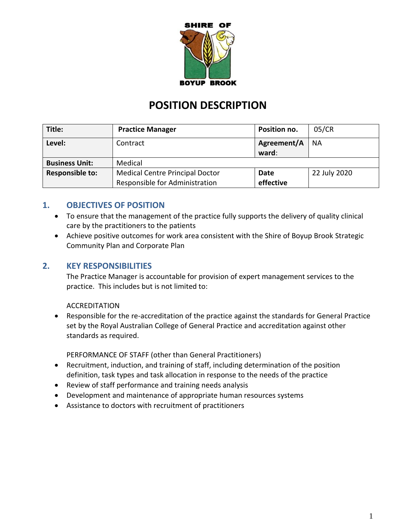

# **POSITION DESCRIPTION**

| Title:                 | <b>Practice Manager</b>                | Position no. | 05/CR        |
|------------------------|----------------------------------------|--------------|--------------|
| Level:                 | Contract                               | Agreement/A  | <b>NA</b>    |
|                        |                                        | ward:        |              |
| <b>Business Unit:</b>  | Medical                                |              |              |
| <b>Responsible to:</b> | <b>Medical Centre Principal Doctor</b> | Date         | 22 July 2020 |
|                        | Responsible for Administration         | effective    |              |

# **1. OBJECTIVES OF POSITION**

- To ensure that the management of the practice fully supports the delivery of quality clinical care by the practitioners to the patients
- Achieve positive outcomes for work area consistent with the Shire of Boyup Brook Strategic Community Plan and Corporate Plan

# **2. KEY RESPONSIBILITIES**

The Practice Manager is accountable for provision of expert management services to the practice. This includes but is not limited to:

#### ACCREDITATION

• Responsible for the re-accreditation of the practice against the standards for General Practice set by the Royal Australian College of General Practice and accreditation against other standards as required.

PERFORMANCE OF STAFF (other than General Practitioners)

- Recruitment, induction, and training of staff, including determination of the position definition, task types and task allocation in response to the needs of the practice
- Review of staff performance and training needs analysis
- Development and maintenance of appropriate human resources systems
- Assistance to doctors with recruitment of practitioners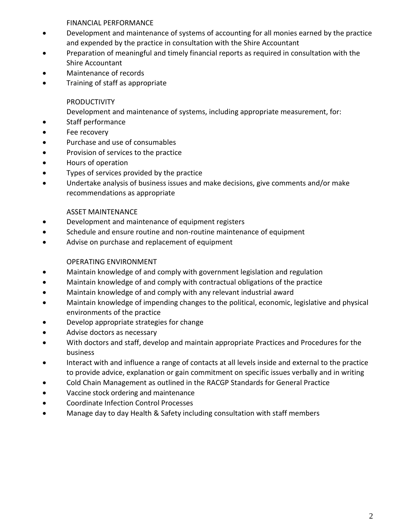FINANCIAL PERFORMANCE

- Development and maintenance of systems of accounting for all monies earned by the practice and expended by the practice in consultation with the Shire Accountant
- Preparation of meaningful and timely financial reports as required in consultation with the Shire Accountant
- Maintenance of records
- Training of staff as appropriate

### PRODUCTIVITY

Development and maintenance of systems, including appropriate measurement, for:

- Staff performance
- Fee recovery
- Purchase and use of consumables
- Provision of services to the practice
- Hours of operation
- Types of services provided by the practice
- Undertake analysis of business issues and make decisions, give comments and/or make recommendations as appropriate

### ASSET MAINTENANCE

- Development and maintenance of equipment registers
- Schedule and ensure routine and non-routine maintenance of equipment
- Advise on purchase and replacement of equipment

### OPERATING ENVIRONMENT

- Maintain knowledge of and comply with government legislation and regulation
- Maintain knowledge of and comply with contractual obligations of the practice
- Maintain knowledge of and comply with any relevant industrial award
- Maintain knowledge of impending changes to the political, economic, legislative and physical environments of the practice
- Develop appropriate strategies for change
- Advise doctors as necessary
- With doctors and staff, develop and maintain appropriate Practices and Procedures for the business
- Interact with and influence a range of contacts at all levels inside and external to the practice to provide advice, explanation or gain commitment on specific issues verbally and in writing
- Cold Chain Management as outlined in the RACGP Standards for General Practice
- Vaccine stock ordering and maintenance
- Coordinate Infection Control Processes
- Manage day to day Health & Safety including consultation with staff members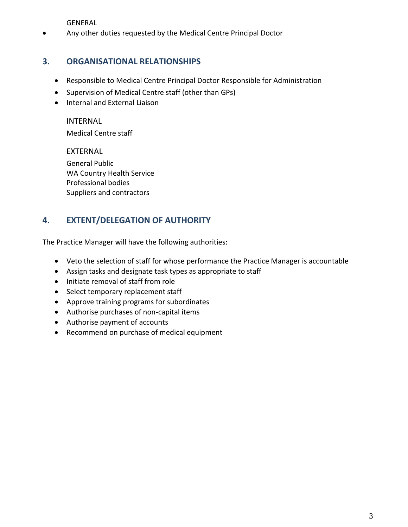GENERAL

• Any other duties requested by the Medical Centre Principal Doctor

# **3. ORGANISATIONAL RELATIONSHIPS**

- Responsible to Medical Centre Principal Doctor Responsible for Administration
- Supervision of Medical Centre staff (other than GPs)
- Internal and External Liaison

INTERNAL

Medical Centre staff

EXTERNAL General Public WA Country Health Service Professional bodies Suppliers and contractors

# **4. EXTENT/DELEGATION OF AUTHORITY**

The Practice Manager will have the following authorities:

- Veto the selection of staff for whose performance the Practice Manager is accountable
- Assign tasks and designate task types as appropriate to staff
- Initiate removal of staff from role
- Select temporary replacement staff
- Approve training programs for subordinates
- Authorise purchases of non-capital items
- Authorise payment of accounts
- Recommend on purchase of medical equipment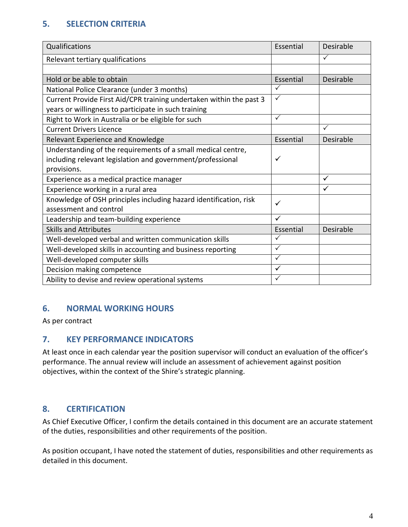# **5. SELECTION CRITERIA**

| Qualifications                                                      | Essential    | Desirable        |
|---------------------------------------------------------------------|--------------|------------------|
| Relevant tertiary qualifications                                    |              | $\checkmark$     |
|                                                                     |              |                  |
| Hold or be able to obtain                                           | Essential    | Desirable        |
| National Police Clearance (under 3 months)                          | ✓            |                  |
| Current Provide First Aid/CPR training undertaken within the past 3 | $\checkmark$ |                  |
| years or willingness to participate in such training                |              |                  |
| Right to Work in Australia or be eligible for such                  | ✓            |                  |
| <b>Current Drivers Licence</b>                                      |              | $\checkmark$     |
| Relevant Experience and Knowledge                                   | Essential    | Desirable        |
| Understanding of the requirements of a small medical centre,        |              |                  |
| including relevant legislation and government/professional          | $\checkmark$ |                  |
| provisions.                                                         |              |                  |
| Experience as a medical practice manager                            |              | $\checkmark$     |
| Experience working in a rural area                                  |              | $\checkmark$     |
| Knowledge of OSH principles including hazard identification, risk   | ✓            |                  |
| assessment and control                                              |              |                  |
| Leadership and team-building experience                             | ✓            |                  |
| <b>Skills and Attributes</b>                                        | Essential    | <b>Desirable</b> |
| Well-developed verbal and written communication skills              | ✓            |                  |
| Well-developed skills in accounting and business reporting          | $\checkmark$ |                  |
| Well-developed computer skills                                      | $\checkmark$ |                  |
| Decision making competence                                          | $\checkmark$ |                  |
| Ability to devise and review operational systems                    | $\checkmark$ |                  |

# **6. NORMAL WORKING HOURS**

As per contract

# **7. KEY PERFORMANCE INDICATORS**

At least once in each calendar year the position supervisor will conduct an evaluation of the officer's performance. The annual review will include an assessment of achievement against position objectives, within the context of the Shire's strategic planning.

# **8. CERTIFICATION**

As Chief Executive Officer, I confirm the details contained in this document are an accurate statement of the duties, responsibilities and other requirements of the position.

As position occupant, I have noted the statement of duties, responsibilities and other requirements as detailed in this document.